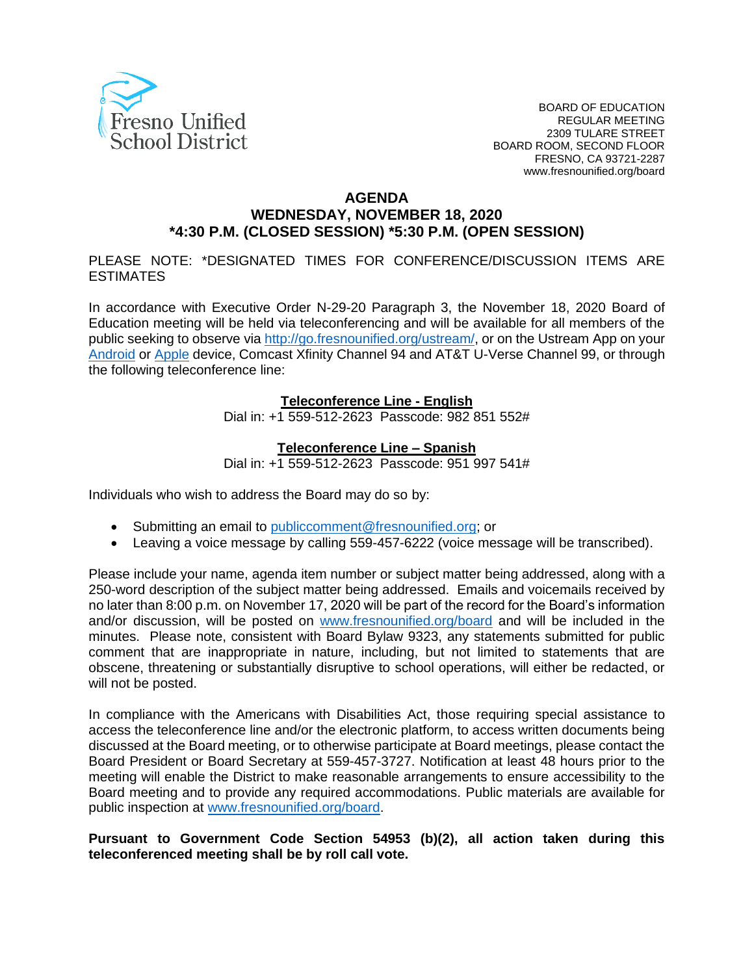

#### **AGENDA**

## **WEDNESDAY, NOVEMBER 18, 2020 \*4:30 P.M. (CLOSED SESSION) \*5:30 P.M. (OPEN SESSION)**

PLEASE NOTE: \*DESIGNATED TIMES FOR CONFERENCE/DISCUSSION ITEMS ARE ESTIMATES

In accordance with Executive Order N-29-20 Paragraph 3, the November 18, 2020 Board of Education meeting will be held via teleconferencing and will be available for all members of the public seeking to observe via [http://go.fresnounified.org/ustream/,](http://go.fresnounified.org/ustream/) or on the Ustream App on your [Android](https://play.google.com/store/apps/details?id=tv.ustream.ustream&hl=en_US) or [Apple](https://itunes.apple.com/us/app/ustream/id301520250?mt=8) device, Comcast Xfinity Channel 94 and AT&T U-Verse Channel 99, or through the following teleconference line:

#### **Teleconference Line - English**

Dial in: +1 559-512-2623 Passcode: 982 851 552#

#### **Teleconference Line – Spanish**

Dial in: +1 559-512-2623 Passcode: 951 997 541#

Individuals who wish to address the Board may do so by:

- Submitting an email to [publiccomment@fresnounified.org;](mailto:publiccomment@fresnounified.org) or
- Leaving a voice message by calling 559-457-6222 (voice message will be transcribed).

Please include your name, agenda item number or subject matter being addressed, along with a 250-word description of the subject matter being addressed. Emails and voicemails received by no later than 8:00 p.m. on November 17, 2020 will be part of the record for the Board's information and/or discussion, will be posted on [www.fresnounified.org/board](http://www.fresnounified.org/board) and will be included in the minutes. Please note, consistent with Board Bylaw 9323, any statements submitted for public comment that are inappropriate in nature, including, but not limited to statements that are obscene, threatening or substantially disruptive to school operations, will either be redacted, or will not be posted.

In compliance with the Americans with Disabilities Act, those requiring special assistance to access the teleconference line and/or the electronic platform, to access written documents being discussed at the Board meeting, or to otherwise participate at Board meetings, please contact the Board President or Board Secretary at 559-457-3727. Notification at least 48 hours prior to the meeting will enable the District to make reasonable arrangements to ensure accessibility to the Board meeting and to provide any required accommodations. Public materials are available for public inspection at [www.fresnounified.org/board.](http://www.fresnounified.org/board)

#### **Pursuant to Government Code Section 54953 (b)(2), all action taken during this teleconferenced meeting shall be by roll call vote.**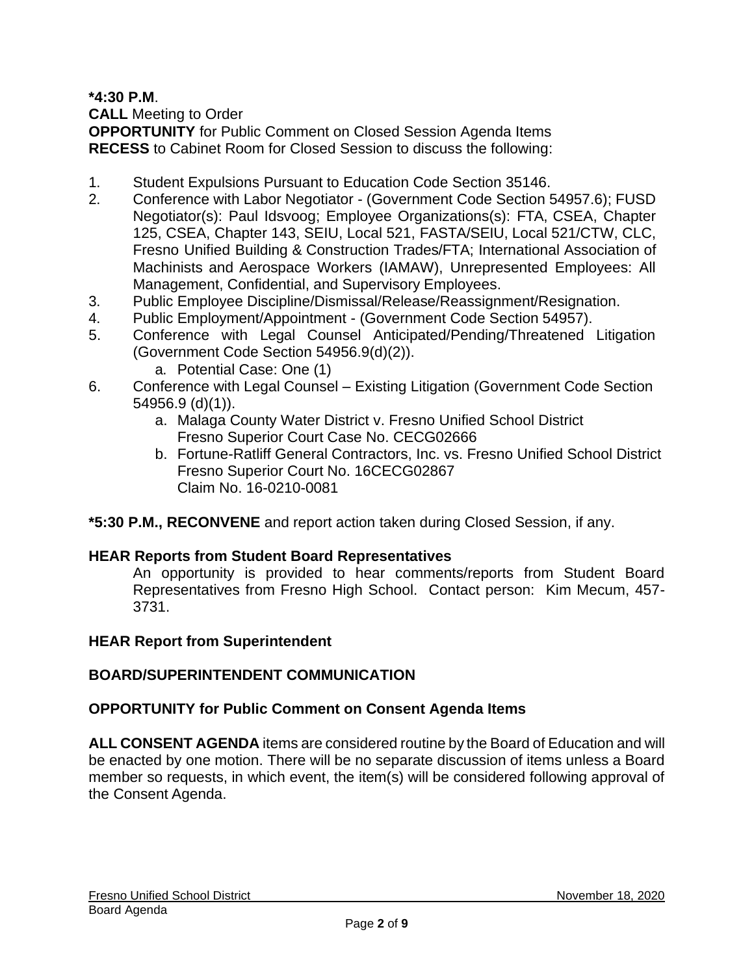**\*4:30 P.M**.

**CALL** Meeting to Order

**OPPORTUNITY** for Public Comment on Closed Session Agenda Items **RECESS** to Cabinet Room for Closed Session to discuss the following:

- 1. Student Expulsions Pursuant to Education Code Section 35146.
- 2. Conference with Labor Negotiator (Government Code Section 54957.6); FUSD Negotiator(s): Paul Idsvoog; Employee Organizations(s): FTA, CSEA, Chapter 125, CSEA, Chapter 143, SEIU, Local 521, FASTA/SEIU, Local 521/CTW, CLC, Fresno Unified Building & Construction Trades/FTA; International Association of Machinists and Aerospace Workers (IAMAW), Unrepresented Employees: All Management, Confidential, and Supervisory Employees.
- 3. Public Employee Discipline/Dismissal/Release/Reassignment/Resignation.
- 4. Public Employment/Appointment (Government Code Section 54957).
- 5. Conference with Legal Counsel Anticipated/Pending/Threatened Litigation (Government Code Section 54956.9(d)(2)).
	- a. Potential Case: One (1)
- 6. Conference with Legal Counsel Existing Litigation (Government Code Section 54956.9 (d)(1)).
	- a. Malaga County Water District v. Fresno Unified School District Fresno Superior Court Case No. CECG02666
	- b. Fortune-Ratliff General Contractors, Inc. vs. Fresno Unified School District Fresno Superior Court No. 16CECG02867 Claim No. 16-0210-0081
- **\*5:30 P.M., RECONVENE** and report action taken during Closed Session, if any.

## **HEAR Reports from Student Board Representatives**

An opportunity is provided to hear comments/reports from Student Board Representatives from Fresno High School. Contact person: Kim Mecum, 457- 3731.

## **HEAR Report from Superintendent**

## **BOARD/SUPERINTENDENT COMMUNICATION**

## **OPPORTUNITY for Public Comment on Consent Agenda Items**

**ALL CONSENT AGENDA** items are considered routine by the Board of Education and will be enacted by one motion. There will be no separate discussion of items unless a Board member so requests, in which event, the item(s) will be considered following approval of the Consent Agenda.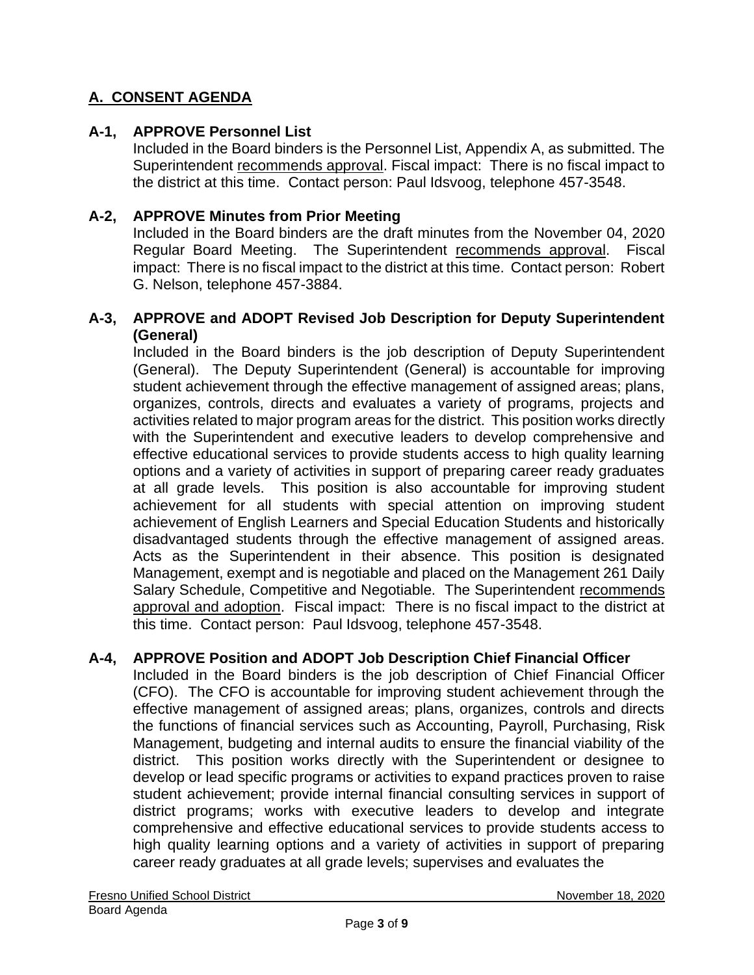# **A. CONSENT AGENDA**

## **A-1, APPROVE Personnel List**

Included in the Board binders is the Personnel List, Appendix A, as submitted. The Superintendent recommends approval. Fiscal impact: There is no fiscal impact to the district at this time. Contact person: Paul Idsvoog, telephone 457-3548.

## **A-2, APPROVE Minutes from Prior Meeting**

Included in the Board binders are the draft minutes from the November 04, 2020 Regular Board Meeting. The Superintendent recommends approval. Fiscal impact: There is no fiscal impact to the district at this time. Contact person: Robert G. Nelson, telephone 457-3884.

#### **A-3, APPROVE and ADOPT Revised Job Description for Deputy Superintendent (General)**

Included in the Board binders is the job description of Deputy Superintendent (General). The Deputy Superintendent (General) is accountable for improving student achievement through the effective management of assigned areas; plans, organizes, controls, directs and evaluates a variety of programs, projects and activities related to major program areas for the district. This position works directly with the Superintendent and executive leaders to develop comprehensive and effective educational services to provide students access to high quality learning options and a variety of activities in support of preparing career ready graduates at all grade levels. This position is also accountable for improving student achievement for all students with special attention on improving student achievement of English Learners and Special Education Students and historically disadvantaged students through the effective management of assigned areas. Acts as the Superintendent in their absence. This position is designated Management, exempt and is negotiable and placed on the Management 261 Daily Salary Schedule, Competitive and Negotiable. The Superintendent recommends approval and adoption. Fiscal impact: There is no fiscal impact to the district at this time. Contact person: Paul Idsvoog, telephone 457-3548.

## **A-4, APPROVE Position and ADOPT Job Description Chief Financial Officer**

Included in the Board binders is the job description of Chief Financial Officer (CFO). The CFO is accountable for improving student achievement through the effective management of assigned areas; plans, organizes, controls and directs the functions of financial services such as Accounting, Payroll, Purchasing, Risk Management, budgeting and internal audits to ensure the financial viability of the district. This position works directly with the Superintendent or designee to develop or lead specific programs or activities to expand practices proven to raise student achievement; provide internal financial consulting services in support of district programs; works with executive leaders to develop and integrate comprehensive and effective educational services to provide students access to high quality learning options and a variety of activities in support of preparing career ready graduates at all grade levels; supervises and evaluates the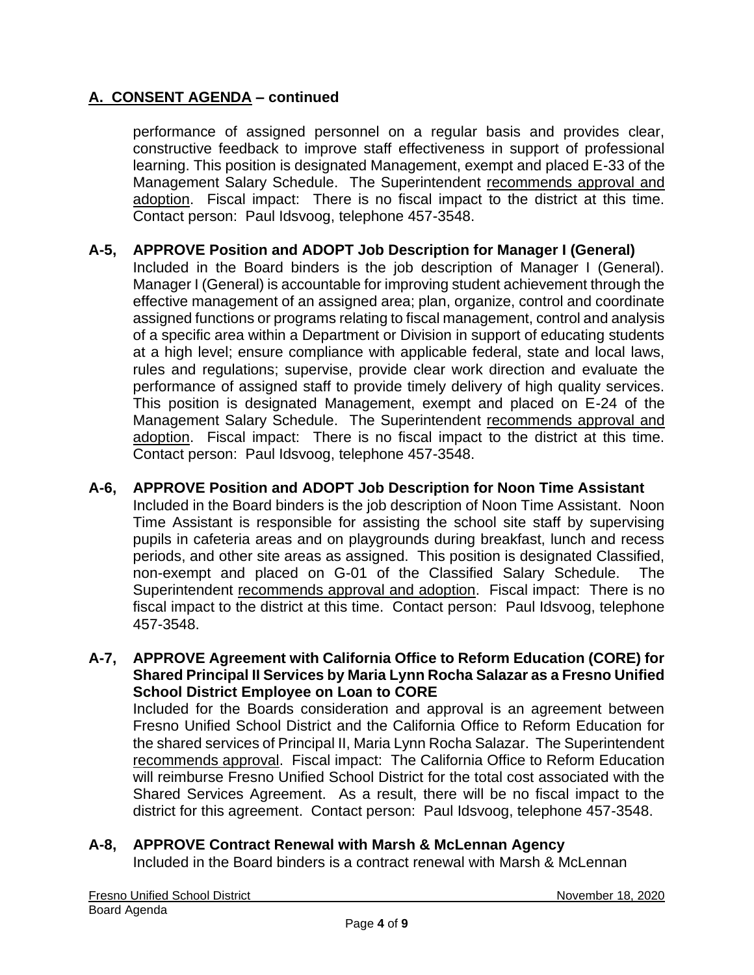performance of assigned personnel on a regular basis and provides clear, constructive feedback to improve staff effectiveness in support of professional learning. This position is designated Management, exempt and placed E-33 of the Management Salary Schedule. The Superintendent recommends approval and adoption. Fiscal impact: There is no fiscal impact to the district at this time. Contact person: Paul Idsvoog, telephone 457-3548.

## **A-5, APPROVE Position and ADOPT Job Description for Manager I (General)**

Included in the Board binders is the job description of Manager I (General). Manager I (General) is accountable for improving student achievement through the effective management of an assigned area; plan, organize, control and coordinate assigned functions or programs relating to fiscal management, control and analysis of a specific area within a Department or Division in support of educating students at a high level; ensure compliance with applicable federal, state and local laws, rules and regulations; supervise, provide clear work direction and evaluate the performance of assigned staff to provide timely delivery of high quality services. This position is designated Management, exempt and placed on E-24 of the Management Salary Schedule. The Superintendent recommends approval and adoption. Fiscal impact: There is no fiscal impact to the district at this time. Contact person: Paul Idsvoog, telephone 457-3548.

## **A-6, APPROVE Position and ADOPT Job Description for Noon Time Assistant**

Included in the Board binders is the job description of Noon Time Assistant. Noon Time Assistant is responsible for assisting the school site staff by supervising pupils in cafeteria areas and on playgrounds during breakfast, lunch and recess periods, and other site areas as assigned. This position is designated Classified, non-exempt and placed on G-01 of the Classified Salary Schedule. The Superintendent recommends approval and adoption. Fiscal impact: There is no fiscal impact to the district at this time. Contact person: Paul Idsvoog, telephone 457-3548.

#### **A-7, APPROVE Agreement with California Office to Reform Education (CORE) for Shared Principal II Services by Maria Lynn Rocha Salazar as a Fresno Unified School District Employee on Loan to CORE**

Included for the Boards consideration and approval is an agreement between Fresno Unified School District and the California Office to Reform Education for the shared services of Principal II, Maria Lynn Rocha Salazar. The Superintendent recommends approval. Fiscal impact: The California Office to Reform Education will reimburse Fresno Unified School District for the total cost associated with the Shared Services Agreement. As a result, there will be no fiscal impact to the district for this agreement. Contact person: Paul Idsvoog, telephone 457-3548.

# **A-8, APPROVE Contract Renewal with Marsh & McLennan Agency**

Included in the Board binders is a contract renewal with Marsh & McLennan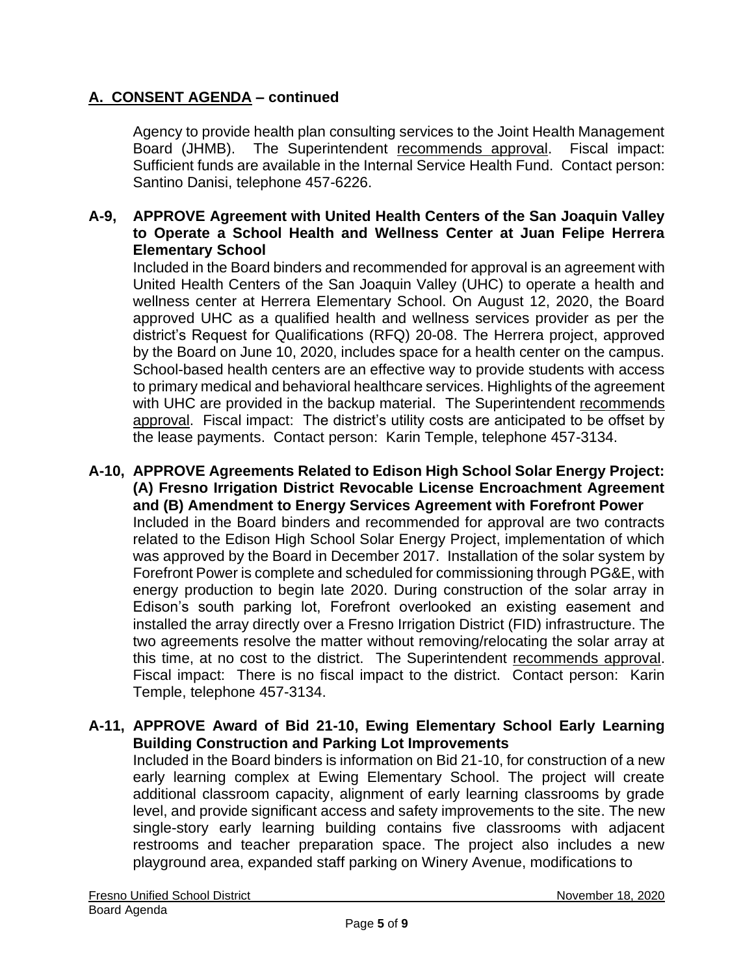Agency to provide health plan consulting services to the Joint Health Management Board (JHMB). The Superintendent recommends approval. Fiscal impact: Sufficient funds are available in the Internal Service Health Fund. Contact person: Santino Danisi, telephone 457-6226.

### **A-9, APPROVE Agreement with United Health Centers of the San Joaquin Valley to Operate a School Health and Wellness Center at Juan Felipe Herrera Elementary School**

Included in the Board binders and recommended for approval is an agreement with United Health Centers of the San Joaquin Valley (UHC) to operate a health and wellness center at Herrera Elementary School. On August 12, 2020, the Board approved UHC as a qualified health and wellness services provider as per the district's Request for Qualifications (RFQ) 20-08. The Herrera project, approved by the Board on June 10, 2020, includes space for a health center on the campus. School-based health centers are an effective way to provide students with access to primary medical and behavioral healthcare services. Highlights of the agreement with UHC are provided in the backup material. The Superintendent recommends approval. Fiscal impact: The district's utility costs are anticipated to be offset by the lease payments. Contact person: Karin Temple, telephone 457-3134.

**A-10, APPROVE Agreements Related to Edison High School Solar Energy Project: (A) Fresno Irrigation District Revocable License Encroachment Agreement and (B) Amendment to Energy Services Agreement with Forefront Power** Included in the Board binders and recommended for approval are two contracts related to the Edison High School Solar Energy Project, implementation of which was approved by the Board in December 2017. Installation of the solar system by Forefront Power is complete and scheduled for commissioning through PG&E, with energy production to begin late 2020. During construction of the solar array in Edison's south parking lot, Forefront overlooked an existing easement and installed the array directly over a Fresno Irrigation District (FID) infrastructure. The two agreements resolve the matter without removing/relocating the solar array at this time, at no cost to the district. The Superintendent recommends approval. Fiscal impact: There is no fiscal impact to the district. Contact person: Karin Temple, telephone 457-3134.

### **A-11, APPROVE Award of Bid 21-10, Ewing Elementary School Early Learning Building Construction and Parking Lot Improvements**

Included in the Board binders is information on Bid 21-10, for construction of a new early learning complex at Ewing Elementary School. The project will create additional classroom capacity, alignment of early learning classrooms by grade level, and provide significant access and safety improvements to the site. The new single-story early learning building contains five classrooms with adjacent restrooms and teacher preparation space. The project also includes a new playground area, expanded staff parking on Winery Avenue, modifications to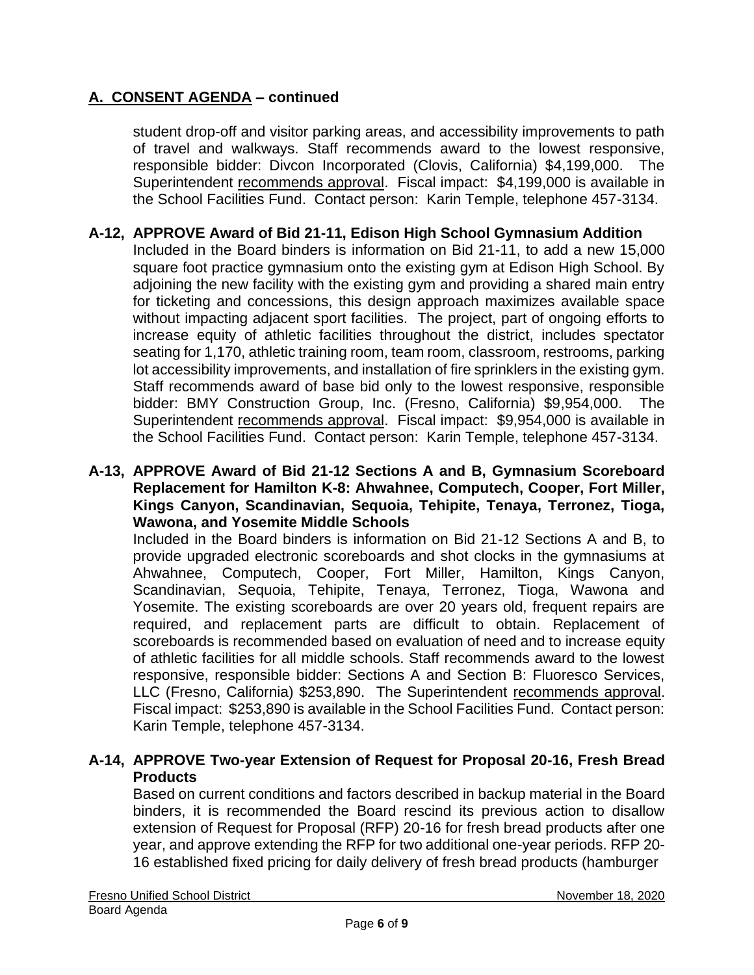student drop-off and visitor parking areas, and accessibility improvements to path of travel and walkways. Staff recommends award to the lowest responsive, responsible bidder: Divcon Incorporated (Clovis, California) \$4,199,000. The Superintendent recommends approval. Fiscal impact: \$4,199,000 is available in the School Facilities Fund. Contact person: Karin Temple, telephone 457-3134.

### **A-12, APPROVE Award of Bid 21-11, Edison High School Gymnasium Addition**

Included in the Board binders is information on Bid 21-11, to add a new 15,000 square foot practice gymnasium onto the existing gym at Edison High School. By adjoining the new facility with the existing gym and providing a shared main entry for ticketing and concessions, this design approach maximizes available space without impacting adjacent sport facilities. The project, part of ongoing efforts to increase equity of athletic facilities throughout the district, includes spectator seating for 1,170, athletic training room, team room, classroom, restrooms, parking lot accessibility improvements, and installation of fire sprinklers in the existing gym. Staff recommends award of base bid only to the lowest responsive, responsible bidder: BMY Construction Group, Inc. (Fresno, California) \$9,954,000. The Superintendent recommends approval. Fiscal impact: \$9,954,000 is available in the School Facilities Fund. Contact person: Karin Temple, telephone 457-3134.

#### **A-13, APPROVE Award of Bid 21-12 Sections A and B, Gymnasium Scoreboard Replacement for Hamilton K-8: Ahwahnee, Computech, Cooper, Fort Miller, Kings Canyon, Scandinavian, Sequoia, Tehipite, Tenaya, Terronez, Tioga, Wawona, and Yosemite Middle Schools**

Included in the Board binders is information on Bid 21-12 Sections A and B, to provide upgraded electronic scoreboards and shot clocks in the gymnasiums at Ahwahnee, Computech, Cooper, Fort Miller, Hamilton, Kings Canyon, Scandinavian, Sequoia, Tehipite, Tenaya, Terronez, Tioga, Wawona and Yosemite. The existing scoreboards are over 20 years old, frequent repairs are required, and replacement parts are difficult to obtain. Replacement of scoreboards is recommended based on evaluation of need and to increase equity of athletic facilities for all middle schools. Staff recommends award to the lowest responsive, responsible bidder: Sections A and Section B: Fluoresco Services, LLC (Fresno, California) \$253,890. The Superintendent recommends approval. Fiscal impact: \$253,890 is available in the School Facilities Fund. Contact person: Karin Temple, telephone 457-3134.

### **A-14, APPROVE Two-year Extension of Request for Proposal 20-16, Fresh Bread Products**

Based on current conditions and factors described in backup material in the Board binders, it is recommended the Board rescind its previous action to disallow extension of Request for Proposal (RFP) 20-16 for fresh bread products after one year, and approve extending the RFP for two additional one-year periods. RFP 20- 16 established fixed pricing for daily delivery of fresh bread products (hamburger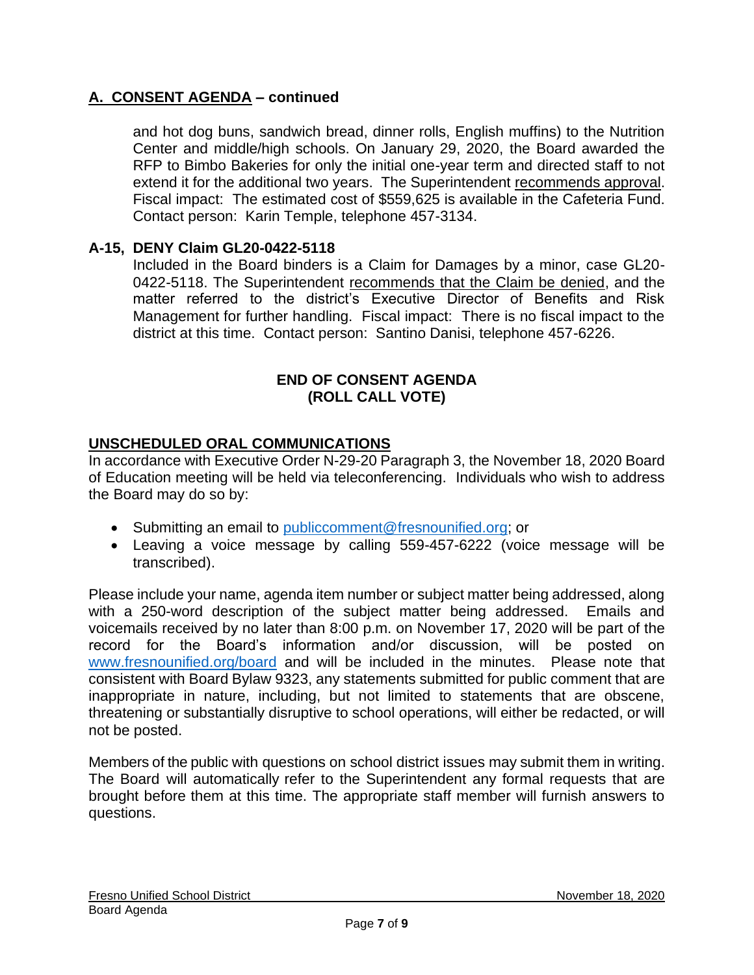and hot dog buns, sandwich bread, dinner rolls, English muffins) to the Nutrition Center and middle/high schools. On January 29, 2020, the Board awarded the RFP to Bimbo Bakeries for only the initial one-year term and directed staff to not extend it for the additional two years. The Superintendent recommends approval. Fiscal impact: The estimated cost of \$559,625 is available in the Cafeteria Fund. Contact person: Karin Temple, telephone 457-3134.

### **A-15, DENY Claim GL20-0422-5118**

Included in the Board binders is a Claim for Damages by a minor, case GL20- 0422-5118. The Superintendent recommends that the Claim be denied, and the matter referred to the district's Executive Director of Benefits and Risk Management for further handling. Fiscal impact: There is no fiscal impact to the district at this time. Contact person: Santino Danisi, telephone 457-6226.

#### **END OF CONSENT AGENDA (ROLL CALL VOTE)**

### **UNSCHEDULED ORAL COMMUNICATIONS**

In accordance with Executive Order N-29-20 Paragraph 3, the November 18, 2020 Board of Education meeting will be held via teleconferencing. Individuals who wish to address the Board may do so by:

- Submitting an email to [publiccomment@fresnounified.org;](mailto:publiccomment@fresnounified.org) or
- Leaving a voice message by calling 559-457-6222 (voice message will be transcribed).

Please include your name, agenda item number or subject matter being addressed, along with a 250-word description of the subject matter being addressed. Emails and voicemails received by no later than 8:00 p.m. on November 17, 2020 will be part of the record for the Board's information and/or discussion, will be posted on [www.fresnounified.org/board](http://www.fresnounified.org/board) and will be included in the minutes. Please note that consistent with Board Bylaw 9323, any statements submitted for public comment that are inappropriate in nature, including, but not limited to statements that are obscene, threatening or substantially disruptive to school operations, will either be redacted, or will not be posted.

Members of the public with questions on school district issues may submit them in writing. The Board will automatically refer to the Superintendent any formal requests that are brought before them at this time. The appropriate staff member will furnish answers to questions.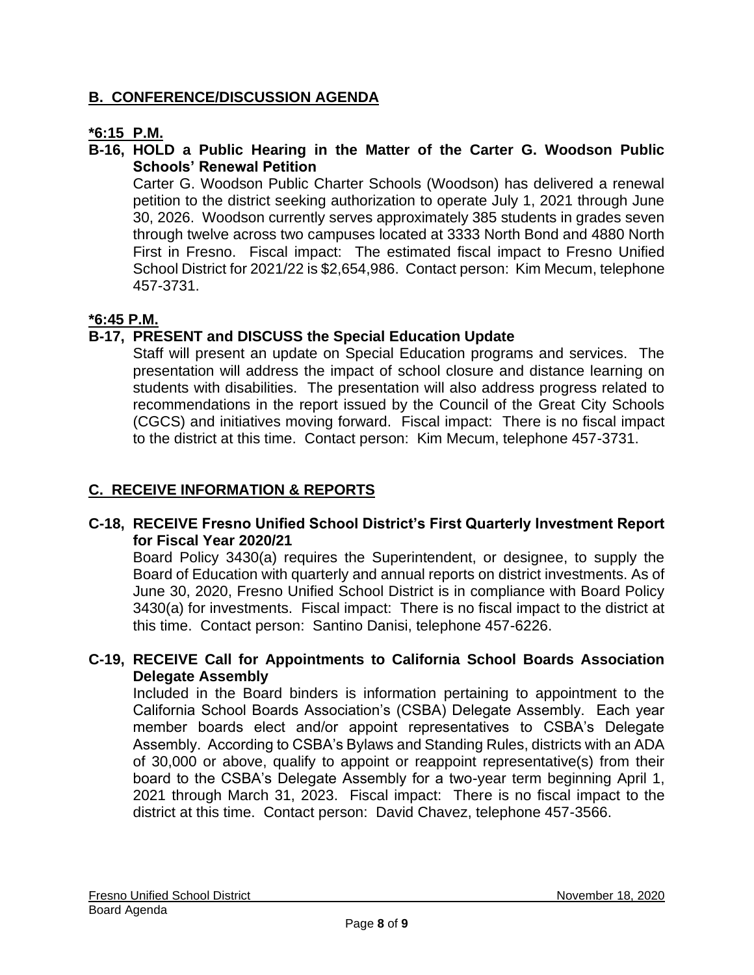# **B. CONFERENCE/DISCUSSION AGENDA**

# **\*6:15 P.M.**

## **B-16, HOLD a Public Hearing in the Matter of the Carter G. Woodson Public Schools' Renewal Petition**

Carter G. Woodson Public Charter Schools (Woodson) has delivered a renewal petition to the district seeking authorization to operate July 1, 2021 through June 30, 2026. Woodson currently serves approximately 385 students in grades seven through twelve across two campuses located at 3333 North Bond and 4880 North First in Fresno. Fiscal impact: The estimated fiscal impact to Fresno Unified School District for 2021/22 is \$2,654,986. Contact person: Kim Mecum, telephone 457-3731.

# **\*6:45 P.M.**

# **B-17, PRESENT and DISCUSS the Special Education Update**

Staff will present an update on Special Education programs and services. The presentation will address the impact of school closure and distance learning on students with disabilities. The presentation will also address progress related to recommendations in the report issued by the Council of the Great City Schools (CGCS) and initiatives moving forward. Fiscal impact: There is no fiscal impact to the district at this time. Contact person: Kim Mecum, telephone 457-3731.

# **C. RECEIVE INFORMATION & REPORTS**

### **C-18, RECEIVE Fresno Unified School District's First Quarterly Investment Report for Fiscal Year 2020/21**

Board Policy 3430(a) requires the Superintendent, or designee, to supply the Board of Education with quarterly and annual reports on district investments. As of June 30, 2020, Fresno Unified School District is in compliance with Board Policy 3430(a) for investments. Fiscal impact: There is no fiscal impact to the district at this time. Contact person: Santino Danisi, telephone 457-6226.

### **C-19, RECEIVE Call for Appointments to California School Boards Association Delegate Assembly**

Included in the Board binders is information pertaining to appointment to the California School Boards Association's (CSBA) Delegate Assembly. Each year member boards elect and/or appoint representatives to CSBA's Delegate Assembly. According to CSBA's Bylaws and Standing Rules, districts with an ADA of 30,000 or above, qualify to appoint or reappoint representative(s) from their board to the CSBA's Delegate Assembly for a two-year term beginning April 1, 2021 through March 31, 2023. Fiscal impact: There is no fiscal impact to the district at this time. Contact person: David Chavez, telephone 457-3566.